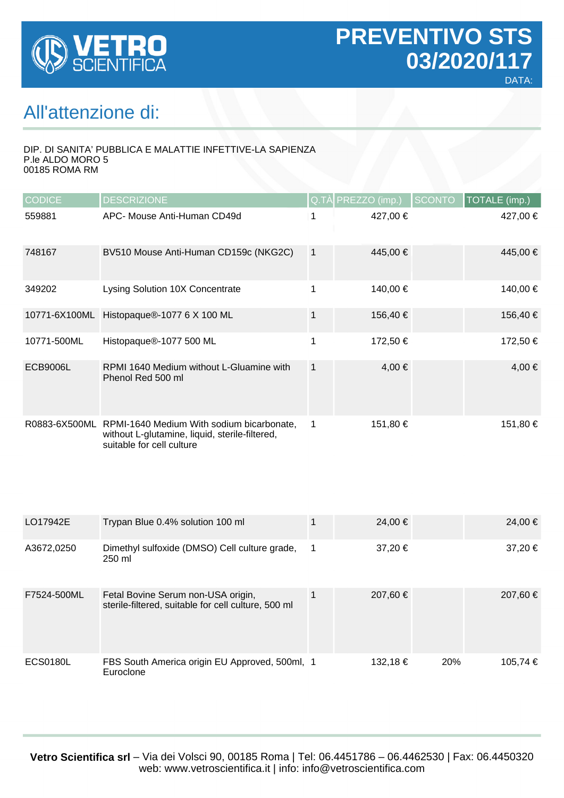

## All'attenzione di:

#### DIP. DI SANITA' PUBBLICA E MALATTIE INFETTIVE-LA SAPIENZA P.le ALDO MORO 5 00185 ROMA RM

| <b>CODICE</b> | <b>DESCRIZIONE</b>                                                                                                       |                | Q.TÀ PREZZO (imp.) | <b>SCONTO</b> | TOTALE (imp.) |
|---------------|--------------------------------------------------------------------------------------------------------------------------|----------------|--------------------|---------------|---------------|
| 559881        | APC- Mouse Anti-Human CD49d                                                                                              | 1              | 427,00 €           |               | 427,00 €      |
| 748167        | BV510 Mouse Anti-Human CD159c (NKG2C)                                                                                    | $\overline{1}$ | 445,00 €           |               | 445,00 €      |
| 349202        | Lysing Solution 10X Concentrate                                                                                          | 1              | 140,00 €           |               | 140,00 €      |
| 10771-6X100ML | Histopaque®-1077 6 X 100 ML                                                                                              | $\mathbf{1}$   | 156,40 €           |               | 156,40 €      |
| 10771-500ML   | Histopaque®-1077 500 ML                                                                                                  | 1              | 172,50 €           |               | 172,50 €      |
| ECB9006L      | RPMI 1640 Medium without L-Gluamine with<br>Phenol Red 500 ml                                                            | $\mathbf{1}$   | 4,00 €             |               | $4,00 \in$    |
| R0883-6X500ML | RPMI-1640 Medium With sodium bicarbonate,<br>without L-glutamine, liquid, sterile-filtered,<br>suitable for cell culture | $\mathbf 1$    | 151,80 €           |               | 151,80 €      |

| LO17942E        | Trypan Blue 0.4% solution 100 ml                                                          |              | $24.00 \in$ |     | 24,00 €  |
|-----------------|-------------------------------------------------------------------------------------------|--------------|-------------|-----|----------|
| A3672,0250      | Dimethyl sulfoxide (DMSO) Cell culture grade,<br>250 ml                                   | $\mathbf{1}$ | 37,20 €     |     | 37,20 €  |
| F7524-500ML     | Fetal Bovine Serum non-USA origin,<br>sterile-filtered, suitable for cell culture, 500 ml |              | 207.60 €    |     | 207,60 € |
| <b>ECS0180L</b> | FBS South America origin EU Approved, 500ml, 1<br>Euroclone                               |              | 132,18€     | 20% | 105,74 € |